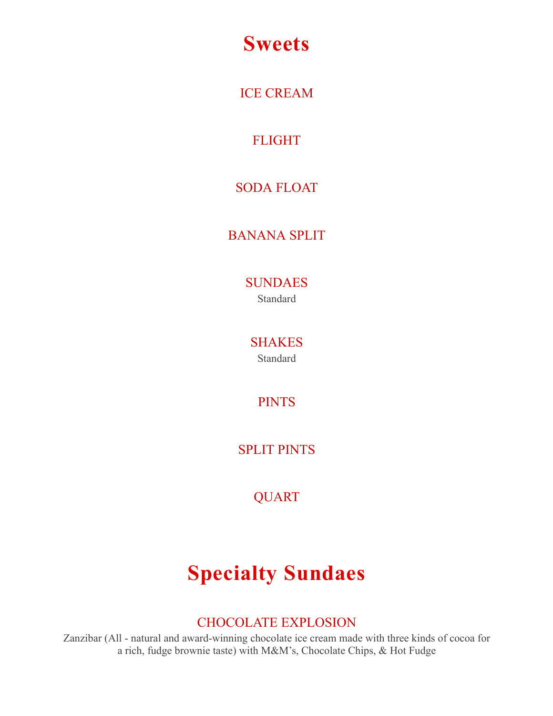# **Sweets**

ICE CREAM

FLIGHT

## SODA FLOAT

## BANANA SPLIT

SUNDAES Standard

SHAKES Standard

PINTS

SPLIT PINTS

QUART

# **Specialty Sundaes**

## CHOCOLATE EXPLOSION

Zanzibar (All - natural and award-winning chocolate ice cream made with three kinds of cocoa for a rich, fudge brownie taste) with M&M's, Chocolate Chips, & Hot Fudge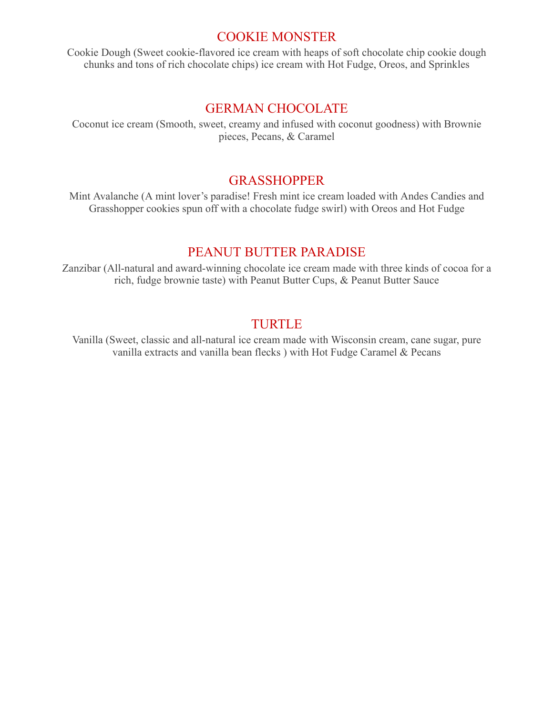#### COOKIE MONSTER

Cookie Dough (Sweet cookie-flavored ice cream with heaps of soft chocolate chip cookie dough chunks and tons of rich chocolate chips) ice cream with Hot Fudge, Oreos, and Sprinkles

#### GERMAN CHOCOLATE

Coconut ice cream (Smooth, sweet, creamy and infused with coconut goodness) with Brownie pieces, Pecans, & Caramel

#### GRASSHOPPER

Mint Avalanche (A mint lover's paradise! Fresh mint ice cream loaded with Andes Candies and Grasshopper cookies spun off with a chocolate fudge swirl) with Oreos and Hot Fudge

#### PEANUT BUTTER PARADISE

Zanzibar (All-natural and award-winning chocolate ice cream made with three kinds of cocoa for a rich, fudge brownie taste) with Peanut Butter Cups, & Peanut Butter Sauce

#### TURTLE

Vanilla (Sweet, classic and all-natural ice cream made with Wisconsin cream, cane sugar, pure vanilla extracts and vanilla bean flecks ) with Hot Fudge Caramel & Pecans